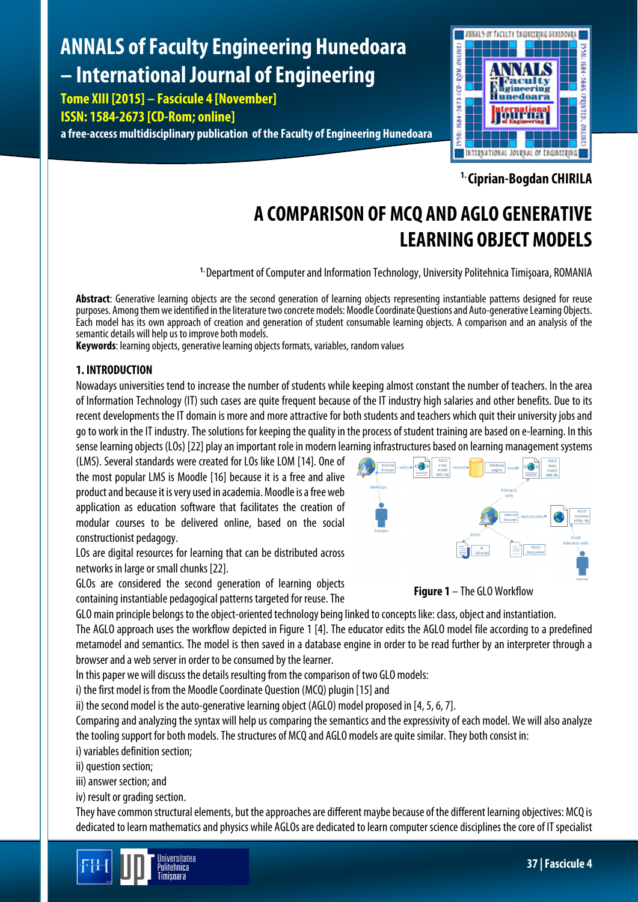# **ANNALS of Faculty Engineering Hunedoara – International Journal of Engineering**

**Tome XIII [2015] – Fascicule 4 [November] ISSN: 1584-2673 [CD-Rom; online]**

**a free-access multidisciplinary publication of the Faculty of Engineering Hunedoara**



**1. Ciprian-Bogdan CHIRILA**

# **A COMPARISON OF MCQ AND AGLO GENERATIVE LEARNING OBJECT MODELS**

**1.** Department of Computer and Information Technology, University Politehnica Timişoara, ROMANIA

**Abstract**: Generative learning objects are the second generation of learning objects representing instantiable patterns designed for reuse purposes. Among them we identified in the literature two concrete models: Moodle Coordinate Questions and Auto-generative Learning Objects. Each model has its own approach of creation and generation of student consumable learning objects. A comparison and an analysis of the semantic details will help us to improve both models.

**Keywords**: learning objects, generative learning objects formats, variables, random values

# **1. INTRODUCTION**

Nowadays universities tend to increase the number of students while keeping almost constant the number of teachers. In the area of Information Technology (IT) such cases are quite frequent because of the IT industry high salaries and other benefits. Due to its recent developments the IT domain is more and more attractive for both students and teachers which quit their university jobsand go to work in the IT industry. The solutions for keeping the quality in the process of student training are based on e-learning. In this sense learning objects (LOs) [22] play an important role in modern learning infrastructures based on learning management systems

(LMS). Several standards were created for LOs like LOM [14]. One of the most popular LMS is Moodle [16] because it is a free and alive product and because it is very used in academia. Moodle is a free web application as education software that facilitates the creation of modular courses to be delivered online, based on the social constructionist pedagogy.





LOs are digital resources for learning that can be distributed across networks in large or small chunks [22].

GLOs are considered the second generation of learning objects containing instantiable pedagogical patterns targeted for reuse. The

GLO main principle belongs to the object-oriented technology being linked to concepts like: class, object and instantiation.

The AGLO approach uses the workflow depicted in Figure 1 [4]. The educator edits the AGLO model file according to a predefined metamodel and semantics. The model is then saved in a database engine in order to be read further by an interpreter through a browser and a web server in order to be consumed by the learner.

In this paper we will discuss the details resulting from the comparison of two GLO models:

i) the first model is from the Moodle Coordinate Question (MCQ) plugin [15] and

ii) the second model is the auto-generative learning object (AGLO) model proposed in [4, 5, 6, 7].

Comparing and analyzing the syntax will help us comparing the semantics and the expressivity of each model. We will also analyze the tooling support for both models.The structures of MCQ and AGLO models are quite similar. They both consist in: i) variables definition section;

ii) question section;

iii) answer section; and

iv) result or grading section.

They have common structural elements, but the approaches are different maybe because of the different learning objectives: MCQ is dedicated to learn mathematics and physics while AGLOs are dedicated to learn computer science disciplines the core of IT specialist

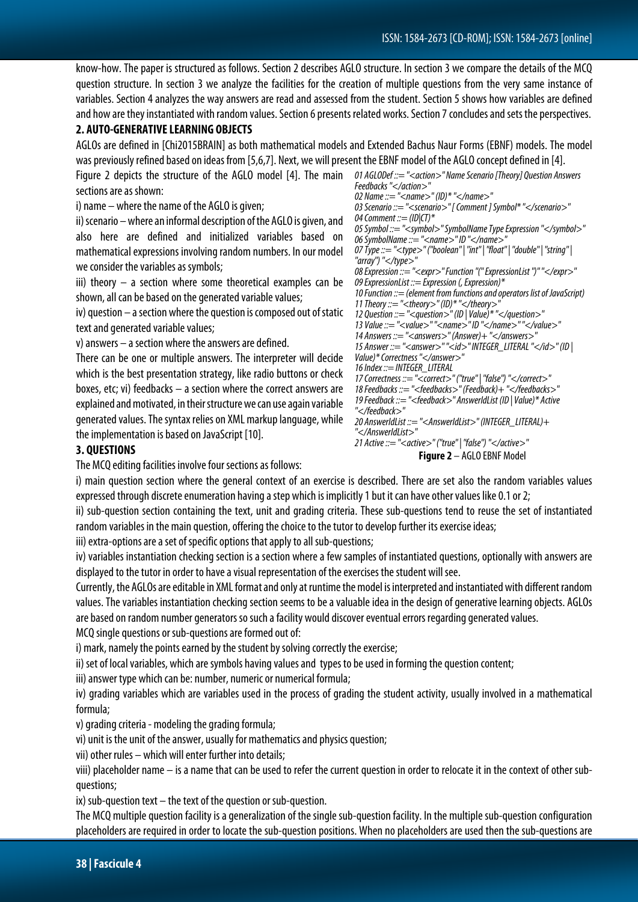**Figure 2** – AGLO EBNF Model

know-how. The paper is structured as follows. Section 2 describes AGLO structure. In section 3 we compare the details of the MCQ question structure. In section 3 we analyze the facilities for the creation of multiple questions from the very same instance of variables. Section 4 analyzes the way answers are read and assessed from the student. Section 5 shows how variables are defined and how are they instantiated with random values. Section 6 presents related works. Section 7 concludes and sets the perspectives.

## **2. AUTO-GENERATIVE LEARNING OBJECTS**

AGLOs are defined in [Chi2015BRAIN] as both mathematical models and Extended Bachus Naur Forms (EBNF) models. The model was previously refined based on ideas from [5,6,7]. Next, we will present the EBNF model of the AGLO concept defined in [4].

Figure 2 depicts the structure of the AGLO model [4]. The main 01AGLODef::="<action>" Name Scenario [Theory] Question Answers sections are as shown: i) name – where the name of the AGLO is given; ii) scenario –where an informal description of the AGLO is given, and also here are defined and initialized variables based on mathematical expressions involving random numbers. In our model we consider the variables as symbols; iii) theory – a section where some theoretical examples can be shown, all can be based on the generated variable values; iv) question – a section where the question is composed out of static text and generated variable values; v) answers – a section where the answers are defined. There can be one or multiple answers. The interpreter will decide which is the best presentation strategy, like radio buttons or check boxes, etc; vi) feedbacks – a section where the correct answers are explained and motivated, in their structure we can use again variable generated values. The syntax relies on XML markup language, while the implementation is based on JavaScript [10]. *Feedbacks "</action>" 02 Name ::= "<name>" (ID)\* "</name>" 03 Scenario ::= "<scenario>" [ Comment ] Symbol\* "</scenario>" 04 Comment ::= (ID|CT)\* 05 Symbol ::= "<symbol>" SymbolName Type Expression "</symbol>" 06 SymbolName ::= "<name>" ID "</name>" 07 Type ::= "<type>" ("boolean" | "int" | "float" | "double" | "string" | "array") "</type>" 08 Expression::= "<expr>" Function "(" ExpressionList ")" "</expr>" 09 ExpressionList ::= Expression (, Expression)\* 10 Function ::= (element from functions and operators list of JavaScript) 11 Theory ::= "<theory>" (ID)\* "</theory>" 12 Question ::= "<question>" (ID | Value)\* "</question>" 13 Value ::= "<value>" "<name>" ID "</name>" "</value>" 14 Answers ::= "<answers>" (Answer)+ "</answers>" 15 Answer ::= "<answer>" "<id>" INTEGER\_LITERAL "</id>" (ID | Value)\* Correctness "</answer>" 16 Index ::= INTEGER\_LITERAL 17 Correctness ::= "<correct>" ("true" | "false") "</correct>" 18 Feedbacks ::= "<feedbacks>" (Feedback)+ "</feedbacks>" 19 Feedback ::= "<feedback>" AnswerIdList (ID | Value)\* Active "</feedback>" 20 AnswerIdList ::= "<AnswerIdList>" (INTEGER\_LITERAL)+ "</AnswerIdList>" 21 Active ::= "<active>" ("true" | "false") "</active>"*

# **3. QUESTIONS**

The MCQ editing facilities involve four sections as follows:

i) main question section where the general context of an exercise is described. There are set also the random variables values expressed through discrete enumeration having a step which is implicitly 1 but it can have other values like 0.1 or 2;

ii) sub-question section containing the text, unit and grading criteria. These sub-questions tend to reuse the set of instantiated random variables in the main question, offering the choice to the tutor to develop further its exercise ideas;

iii) extra-options are a set of specific options that apply to all sub-questions;

iv) variables instantiation checking section is a section where a few samples of instantiated questions, optionally with answers are displayed to the tutor in order to have a visual representation of the exercises the student will see.

Currently, the AGLOs are editable in XML format and only at runtime the model is interpreted and instantiated with different random values. The variables instantiation checking section seems to be a valuable idea in the design of generative learning objects. AGLOs are based on random number generators so such a facility would discover eventual errors regarding generated values.

MCQ single questions or sub-questions are formed out of:

i) mark, namely the points earned by the student by solving correctly the exercise;

ii) set of local variables, which are symbols having values and types to be used in forming the question content;

iii) answer type which can be: number, numeric or numerical formula;

iv) grading variables which are variables used in the process of grading the student activity, usually involved in a mathematical formula;

v) grading criteria - modeling the grading formula;

vi) unit is the unit of the answer, usually for mathematics and physics question;

vii) other rules – which will enter further into details;

viii) placeholder name – is a name that can be used to refer the current question in order to relocate it in the context of other subquestions;

ix) sub-question text – the text of the question or sub-question.

The MCQ multiple question facility is a generalization of the single sub-question facility. In the multiple sub-question configuration placeholders are required in order to locate the sub-question positions. When no placeholders are used then the sub-questions are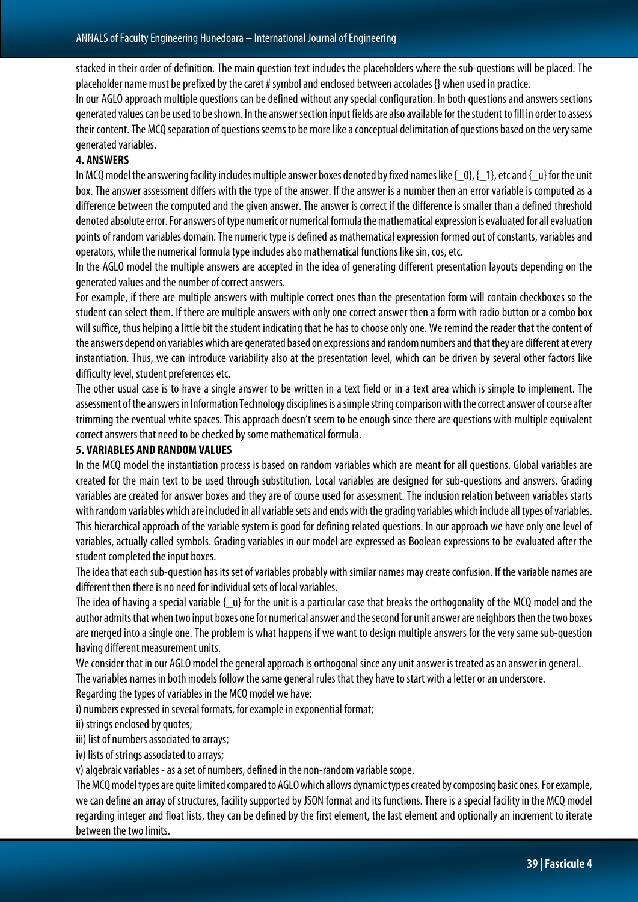stacked in their order of definition. The main question text includes the placeholders where the sub-questions will be placed. The placeholder name must be prefixed by the caret # symbol and enclosed between accolades {} when used in practice.

In our AGLO approach multiple questions can be defined without any special configuration. In both questions and answers sections generated values can be used to be shown. In the answer section input fields are also available for the student to fill in order to assess their content.The MCQ separation of questions seems to be more like a conceptual delimitation of questions based on the very same generated variables.

# **4. ANSWERS**

In MCQ model the answering facility includes multiple answer boxes denoted by fixed names like { $\{0\}$ , { $\{1\}$ , etc and { $\{u\}$  for the unit box. The answer assessment differs with the type of the answer. If the answer is a number then an error variable is computed as a difference between the computed and the given answer. The answer is correct if the difference is smaller than a defined threshold denoted absolute error. For answers of type numeric or numerical formula the mathematical expression is evaluated for all evaluation points of random variables domain. The numeric type is defined as mathematical expression formed out of constants, variables and operators, while the numerical formula type includes also mathematical functions like sin, cos, etc.

In the AGLO model the multiple answers are accepted in the idea of generating different presentation layouts depending on the generated values and the number of correct answers.

For example, if there are multiple answers with multiple correct ones than the presentation form will contain checkboxes so the student can select them. If there are multiple answers with only one correct answer then a form with radio button or a combo box will suffice, thus helping a little bit the student indicating that he has to choose only one. We remind the reader that the content of the answers depend on variables which are generated based on expressions and random numbers and that they are different at every instantiation. Thus, we can introduce variability also at the presentation level, which can be driven by several other factors like difficulty level, student preferences etc.

The other usual case is to have a single answer to be written in a text field or in a text area which is simple to implement. The assessment of the answers in Information Technology disciplines is a simple string comparison with the correct answer of course after trimming the eventual white spaces. This approach doesn't seem to be enough since there are questions with multiple equivalent correct answers that need to be checked by some mathematical formula.

#### **5. VARIABLES AND RANDOM VALUES**

In the MCQ model the instantiation process is based on random variables which are meant for all questions. Global variables are created for the main text to be used through substitution. Local variables are designed for sub-questions and answers. Grading variables are created for answer boxes and they are of course used for assessment. The inclusion relation between variables starts with random variables which are included in all variable sets and ends with the grading variables which include all types of variables. This hierarchical approach of the variable system is good for defining related questions. In our approach we have only one level of variables, actually called symbols. Grading variables in our model are expressed as Boolean expressions to be evaluated after the student completed the input boxes.

The idea that each sub-question has its set of variables probably with similar names may create confusion. If the variable names are different then there is no need for individual sets of local variables.

The idea of having a special variable  $\{\mu\}$  for the unit is a particular case that breaks the orthogonality of the MCQ model and the author admits that when two input boxes one for numerical answer and the second for unit answer are neighbors then the two boxes are merged into a single one. The problem is what happens if we want to design multiple answers for the very same sub-question having different measurement units.

We consider that in our AGLO model the general approach is orthogonal since any unit answer is treated as an answer in general.

The variables names in both models follow the same general rules that they have to start with a letter or an underscore.

Regarding the types of variables in the MCQ model we have:

i) numbers expressed in several formats, for example in exponential format;

ii) strings enclosed by quotes;

iii) list of numbers associated to arrays;

iv) lists of strings associated to arrays;

v) algebraic variables - as a set of numbers, defined in the non-random variable scope.

The MCQ model types are quite limited compared to AGLO which allows dynamic types created by composing basic ones. For example, we can define an array of structures, facility supported by JSON format and its functions. There is a special facility in the MCQ model regarding integer and float lists, they can be defined by the first element, the last element and optionally an increment to iterate between the two limits.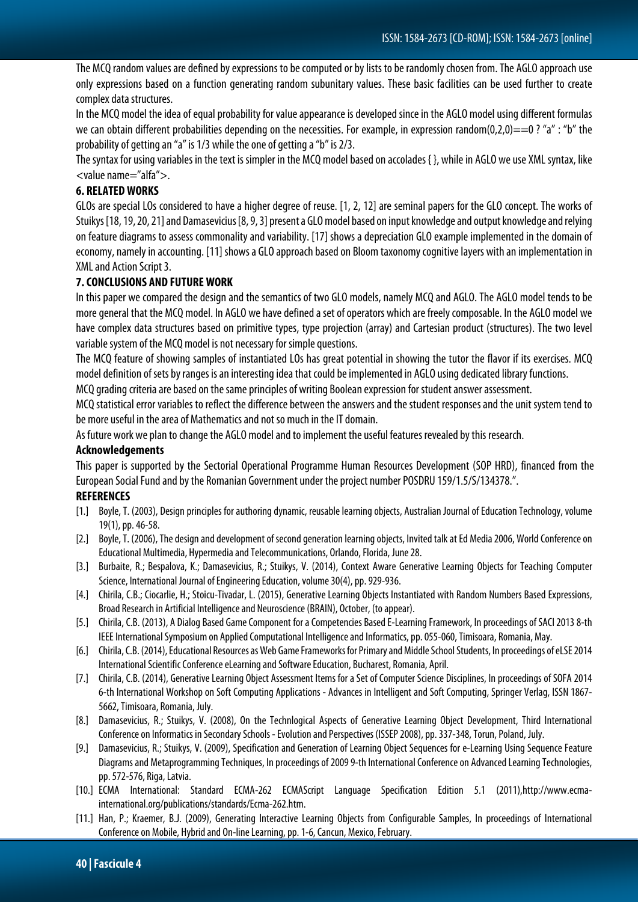The MCQ random values are defined by expressions to be computed or by lists to be randomly chosen from. The AGLO approach use only expressions based on a function generating random subunitary values. These basic facilities can be used further to create complex data structures.

In the MCQ model the idea of equal probability for value appearance is developed since in the AGLO model using different formulas we can obtain different probabilities depending on the necessities. For example, in expression random(0,2,0)==0 ? "a" : "b" the probability of getting an "a" is 1/3 while the one of getting a "b" is 2/3.

The syntax for using variables in the text is simpler in the MCQ model based on accolades { }, while in AGLO we use XML syntax, like <value name="alfa">.

# **6. RELATED WORKS**

GLOs are special LOs considered to have a higher degree of reuse. [1, 2, 12] are seminal papers for the GLO concept. The works of Stuikys [18, 19, 20, 21] and Damasevicius [8, 9, 3] present a GLO model based on input knowledge and output knowledge and relying on feature diagrams to assess commonality and variability. [17] shows a depreciation GLO example implemented in the domain of economy, namely in accounting. [11] shows a GLO approach based on Bloom taxonomy cognitive layers with an implementation in XML and Action Script 3.

## **7. CONCLUSIONS AND FUTURE WORK**

In this paper we compared the design and the semantics of two GLO models, namely MCQ and AGLO. The AGLO model tends to be more general that the MCQ model. In AGLO we have defined a set of operators which are freely composable. In the AGLO model we have complex data structures based on primitive types, type projection (array) and Cartesian product (structures). The two level variable system of the MCQ model is not necessary for simple questions.

The MCQ feature of showing samples of instantiated LOs has great potential in showing the tutor the flavor if its exercises. MCQ model definition of sets by ranges is an interesting idea that could be implemented in AGLO using dedicated library functions.

MCQ grading criteria are based on the same principles of writing Boolean expression for student answer assessment.

MCQ statistical error variables to reflect the difference between the answers and the student responses and the unit system tend to be more useful in the area of Mathematics and not so much in the IT domain.

As future work we plan to change the AGLO model and to implement the useful features revealed by this research.

#### **Acknowledgements**

This paper is supported by the Sectorial Operational Programme Human Resources Development (SOP HRD), financed from the European Social Fund and by the Romanian Government under the project number POSDRU 159/1.5/S/134378.".

#### **REFERENCES**

- [1.] Boyle, T. (2003), Design principles for authoring dynamic, reusable learning objects, Australian Journal of Education Technology, volume 19(1), pp. 46-58.
- [2.] Boyle, T. (2006), The design and development of second generation learning objects, Invited talk at Ed Media 2006, World Conference on Educational Multimedia, Hypermedia and Telecommunications, Orlando, Florida, June 28.
- [3.] Burbaite, R.; Bespalova, K.; Damasevicius, R.; Stuikys, V. (2014), Context Aware Generative Learning Objects for Teaching Computer Science, International Journal of Engineering Education, volume 30(4), pp. 929-936.
- [4.] Chirila, C.B.; Ciocarlie, H.; Stoicu-Tivadar, L. (2015), Generative Learning Objects Instantiated with Random Numbers Based Expressions, Broad Research in Artificial Intelligence and Neuroscience (BRAIN), October, (to appear).
- [5.] Chirila, C.B. (2013), A Dialog Based Game Component for a Competencies Based E-Learning Framework, In proceedings of SACI 2013 8-th IEEE International Symposium on Applied Computational Intelligence and Informatics, pp. 055-060, Timisoara, Romania, May.
- [6.] Chirila, C.B. (2014), Educational Resources as Web Game Frameworks for Primary and Middle School Students, In proceedings of eLSE 2014 International Scientific Conference eLearning and Software Education, Bucharest, Romania, April.
- [7.] Chirila, C.B. (2014), Generative Learning Object Assessment Items for a Set of Computer Science Disciplines, In proceedings of SOFA 2014 6-th International Workshop on Soft Computing Applications - Advances in Intelligent and Soft Computing, Springer Verlag, ISSN 1867- 5662, Timisoara, Romania, July.
- [8.] Damasevicius, R.; Stuikys, V. (2008), On the Technlogical Aspects of Generative Learning Object Development, Third International Conference on Informatics in Secondary Schools -Evolution and Perspectives (ISSEP 2008), pp. 337-348, Torun, Poland, July.
- [9.] Damasevicius, R.; Stuikys, V. (2009), Specification and Generation of Learning Object Sequences for e-Learning Using Sequence Feature Diagrams and Metaprogramming Techniques, In proceedings of 2009 9-th International Conference on Advanced Learning Technologies, pp. 572-576, Riga, Latvia.
- [10.] ECMA International: Standard ECMA-262 ECMAScript Language Specification Edition 5.1 (2011),http://www.ecmainternational.org/publications/standards/Ecma-262.htm.
- [11.] Han, P.; Kraemer, B.J. (2009), Generating Interactive Learning Objects from Configurable Samples, In proceedings of International Conference on Mobile, Hybrid and On-line Learning, pp. 1-6, Cancun, Mexico, February.